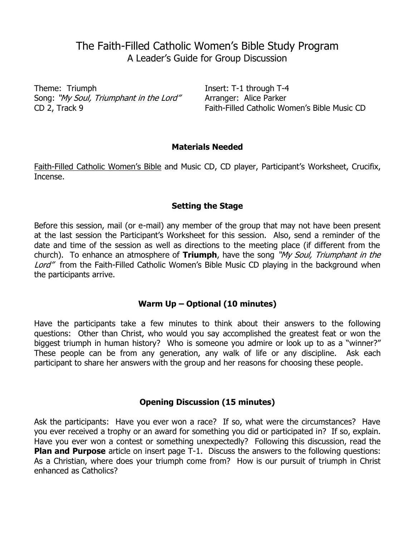# The Faith-Filled Catholic Women's Bible Study Program A Leader's Guide for Group Discussion

Theme: Triumph Insert: T-1 through T-4 Song: "My Soul, Triumphant in the Lord" Arranger: Alice Parker

CD 2, Track 9 Faith-Filled Catholic Women's Bible Music CD

## **Materials Needed**

Faith-Filled Catholic Women's Bible and Music CD, CD player, Participant's Worksheet, Crucifix, Incense.

## **Setting the Stage**

Before this session, mail (or e-mail) any member of the group that may not have been present at the last session the Participant's Worksheet for this session. Also, send a reminder of the date and time of the session as well as directions to the meeting place (if different from the church). To enhance an atmosphere of **Triumph**, have the song "My Soul, Triumphant in the Lord" from the Faith-Filled Catholic Women's Bible Music CD playing in the background when the participants arrive.

# **Warm Up – Optional (10 minutes)**

Have the participants take a few minutes to think about their answers to the following questions: Other than Christ, who would you say accomplished the greatest feat or won the biggest triumph in human history? Who is someone you admire or look up to as a "winner?" These people can be from any generation, any walk of life or any discipline. Ask each participant to share her answers with the group and her reasons for choosing these people.

# **Opening Discussion (15 minutes)**

Ask the participants: Have you ever won a race? If so, what were the circumstances? Have you ever received a trophy or an award for something you did or participated in? If so, explain. Have you ever won a contest or something unexpectedly? Following this discussion, read the **Plan and Purpose** article on insert page T-1. Discuss the answers to the following questions: As a Christian, where does your triumph come from? How is our pursuit of triumph in Christ enhanced as Catholics?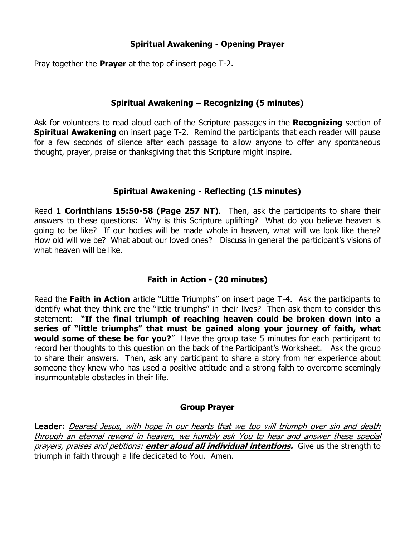## **Spiritual Awakening - Opening Prayer**

Pray together the **Prayer** at the top of insert page T-2.

#### **Spiritual Awakening – Recognizing (5 minutes)**

Ask for volunteers to read aloud each of the Scripture passages in the **Recognizing** section of **Spiritual Awakening** on insert page T-2. Remind the participants that each reader will pause for a few seconds of silence after each passage to allow anyone to offer any spontaneous thought, prayer, praise or thanksgiving that this Scripture might inspire.

## **Spiritual Awakening - Reflecting (15 minutes)**

Read **1 Corinthians 15:50-58 (Page 257 NT)**. Then, ask the participants to share their answers to these questions: Why is this Scripture uplifting? What do you believe heaven is going to be like? If our bodies will be made whole in heaven, what will we look like there? How old will we be? What about our loved ones? Discuss in general the participant's visions of what heaven will be like.

# **Faith in Action - (20 minutes)**

Read the **Faith in Action** article "Little Triumphs" on insert page T-4. Ask the participants to identify what they think are the "little triumphs" in their lives? Then ask them to consider this statement: **"If the final triumph of reaching heaven could be broken down into a series of "little triumphs" that must be gained along your journey of faith, what would some of these be for you?**" Have the group take 5 minutes for each participant to record her thoughts to this question on the back of the Participant's Worksheet. Ask the group to share their answers. Then, ask any participant to share a story from her experience about someone they knew who has used a positive attitude and a strong faith to overcome seemingly insurmountable obstacles in their life.

#### **Group Prayer**

Leader: **Dearest Jesus, with hope in our hearts that we too will triumph over sin and death** through an eternal reward in heaven, we humbly ask You to hear and answer these special prayers, praises and petitions: **enter aloud all individual intentions.** Give us the strength to triumph in faith through a life dedicated to You. Amen.